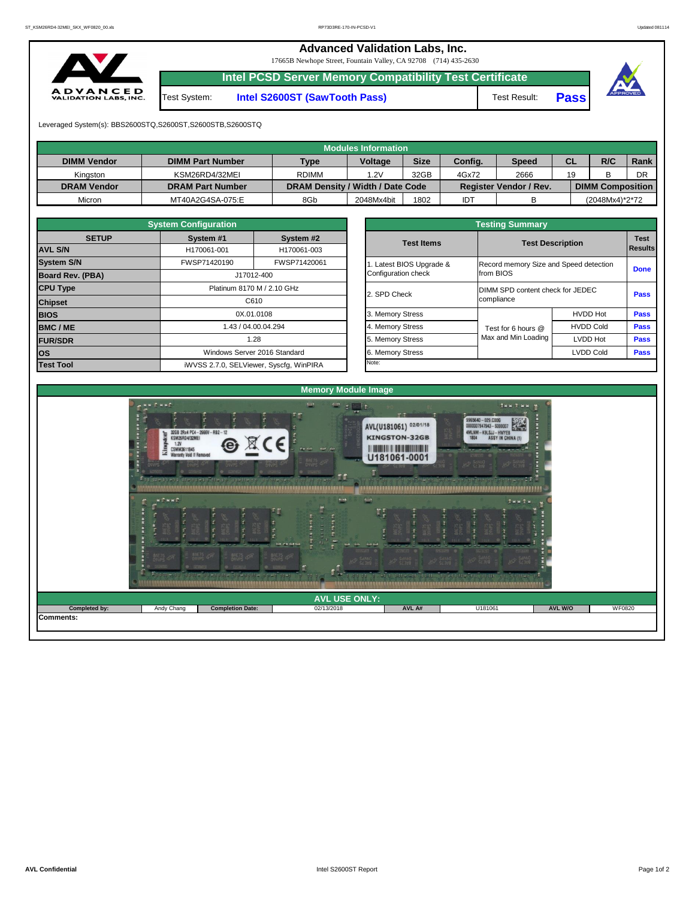## **Advanced Validation Labs, Inc.**

17665B Newhope Street, Fountain Valley, CA 92708 (714) 435-2630



**Intel PCSD Server Memory Compatibility Test Certificate**

Test System: **Intel S2600ST (SawTooth Pass)** Test Result: **Pass**



Leveraged System(s): BBS2600STQ,S2600ST,S2600STB,S2600STQ

|                    |                         |                                  | <b>Modules Information</b> |             |            |                               |           |                         |      |
|--------------------|-------------------------|----------------------------------|----------------------------|-------------|------------|-------------------------------|-----------|-------------------------|------|
| <b>DIMM Vendor</b> | <b>DIMM Part Number</b> | <b>Type</b>                      | <b>Voltage</b>             | <b>Size</b> | Config.    | <b>Speed</b>                  | <b>CL</b> | R/C                     | Rank |
| Kingston           | KSM26RD4/32MEI          | <b>RDIMM</b>                     | 32GB<br>.2V                |             | 4Gx72      | 2666                          | 19        | R<br>◡                  | DR   |
| <b>DRAM Vendor</b> | <b>DRAM Part Number</b> | DRAM Density / Width / Date Code |                            |             |            | <b>Register Vendor / Rev.</b> |           | <b>DIMM Composition</b> |      |
| Micron             | MT40A2G4SA-075:E        | 8Gb                              | 2048Mx4bit                 | 1802        | <b>IDT</b> |                               |           | (2048Mx4)*2*72          |      |

|              | <b>System Configuration</b> |                                         |                       | <b>Testing Summary</b>  |                                                |                |  |  |  |
|--------------|-----------------------------|-----------------------------------------|-----------------------|-------------------------|------------------------------------------------|----------------|--|--|--|
| <b>SETUP</b> | System #1                   | System #2                               | <b>Test Items</b>     | <b>Test Description</b> |                                                | <b>Test</b>    |  |  |  |
|              | H170061-001                 | H170061-003                             |                       |                         |                                                | <b>Results</b> |  |  |  |
|              | FWSP71420190                | FWSP71420061                            | Latest BIOS Upgrade & |                         | Record memory Size and Speed detection         |                |  |  |  |
| PBA)         |                             | J17012-400                              | Configuration check   | from BIOS               |                                                | <b>Done</b>    |  |  |  |
|              |                             | Platinum 8170 M / 2.10 GHz              | 2. SPD Check          |                         | DIMM SPD content check for JEDEC<br>compliance |                |  |  |  |
|              |                             | C610                                    |                       |                         |                                                |                |  |  |  |
|              |                             | 0X.01.0108                              | 3. Memory Stress      |                         | <b>HVDD Hot</b>                                | <b>Pass</b>    |  |  |  |
|              |                             | 1.43 / 04.00.04.294                     | 4. Memory Stress      | Test for 6 hours @      | <b>HVDD Cold</b>                               | <b>Pass</b>    |  |  |  |
|              |                             | 1.28                                    | 5. Memory Stress      | Max and Min Loading     | LVDD Hot                                       | <b>Pass</b>    |  |  |  |
|              |                             | Windows Server 2016 Standard            | 6. Memory Stress      |                         | <b>LVDD Cold</b>                               |                |  |  |  |
|              |                             | iWVSS 2.7.0, SELViewer, Syscfg, WinPIRA | Note:                 |                         |                                                |                |  |  |  |

|                                                                                        | <b>System Configuration</b> |                                         | <b>Testing Summary</b>                           |                                        |                         |             |  |  |  |  |  |
|----------------------------------------------------------------------------------------|-----------------------------|-----------------------------------------|--------------------------------------------------|----------------------------------------|-------------------------|-------------|--|--|--|--|--|
| <b>SETUP</b>                                                                           | System #1                   | System #2                               | <b>Test Items</b>                                |                                        |                         | <b>Test</b> |  |  |  |  |  |
| <b>AVL S/N</b>                                                                         | H170061-001<br>H170061-003  |                                         |                                                  |                                        | <b>Test Description</b> |             |  |  |  |  |  |
| <b>System S/N</b>                                                                      | FWSP71420190                | FWSP71420061                            | Latest BIOS Upgrade &                            | Record memory Size and Speed detection |                         | <b>Done</b> |  |  |  |  |  |
| <b>Board Rev. (PBA)</b><br>J17012-400<br><b>CPU Type</b><br>Platinum 8170 M / 2.10 GHz |                             |                                         | Configuration check                              | from BIOS                              |                         |             |  |  |  |  |  |
|                                                                                        |                             |                                         | DIMM SPD content check for JEDEC<br>2. SPD Check |                                        |                         |             |  |  |  |  |  |
| C610<br><b>Chipset</b>                                                                 |                             |                                         |                                                  | compliance                             |                         | <b>Pass</b> |  |  |  |  |  |
| <b>BIOS</b>                                                                            |                             | 0X.01.0108                              | 3. Memory Stress                                 |                                        | <b>HVDD Hot</b>         | <b>Pass</b> |  |  |  |  |  |
| <b>BMC/ME</b>                                                                          |                             | 1.43 / 04.00.04.294                     | 4. Memory Stress                                 | Test for 6 hours @                     | <b>HVDD Cold</b>        | <b>Pass</b> |  |  |  |  |  |
| <b>FUR/SDR</b>                                                                         |                             | 1.28                                    | 5. Memory Stress                                 | Max and Min Loading                    | LVDD Hot                | <b>Pass</b> |  |  |  |  |  |
| <b>los</b>                                                                             |                             | Windows Server 2016 Standard            | 6. Memory Stress                                 |                                        | <b>LVDD Cold</b>        | <b>Pass</b> |  |  |  |  |  |
| <b>Test Tool</b>                                                                       |                             | iWVSS 2.7.0, SELViewer, Syscfg, WinPIRA | Note:                                            |                                        |                         |             |  |  |  |  |  |